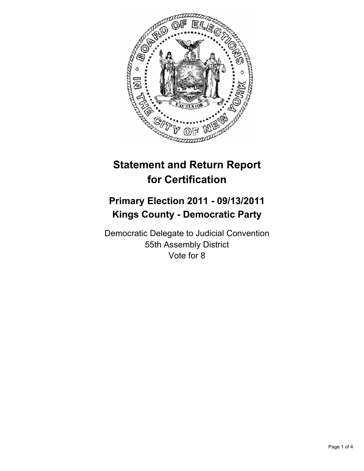

# **Statement and Return Report for Certification**

## **Primary Election 2011 - 09/13/2011 Kings County - Democratic Party**

Democratic Delegate to Judicial Convention 55th Assembly District Vote for 8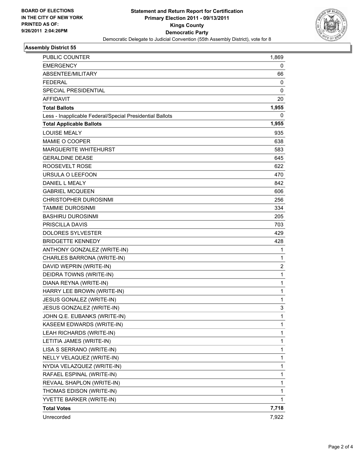

### **Assembly District 55**

| PUBLIC COUNTER                                           | 1,869        |
|----------------------------------------------------------|--------------|
| <b>EMERGENCY</b>                                         | 0            |
| ABSENTEE/MILITARY                                        | 66           |
| <b>FEDERAL</b>                                           | 0            |
| <b>SPECIAL PRESIDENTIAL</b>                              | 0            |
| <b>AFFIDAVIT</b>                                         | 20           |
| <b>Total Ballots</b>                                     | 1,955        |
| Less - Inapplicable Federal/Special Presidential Ballots | 0            |
| <b>Total Applicable Ballots</b>                          | 1,955        |
| <b>LOUISE MEALY</b>                                      | 935          |
| MAMIE O COOPER                                           | 638          |
| <b>MARGUERITE WHITEHURST</b>                             | 583          |
| <b>GERALDINE DEASE</b>                                   | 645          |
| ROOSEVELT ROSE                                           | 622          |
| URSULA O LEEFOON                                         | 470          |
| DANIEL L MEALY                                           | 842          |
| <b>GABRIEL MCQUEEN</b>                                   | 606          |
| CHRISTOPHER DUROSINMI                                    | 256          |
| <b>TAMMIE DUROSINMI</b>                                  | 334          |
| <b>BASHIRU DUROSINMI</b>                                 | 205          |
| PRISCILLA DAVIS                                          | 703          |
| DOLORES SYLVESTER                                        | 429          |
| <b>BRIDGETTE KENNEDY</b>                                 | 428          |
| ANTHONY GONZALEZ (WRITE-IN)                              | 1            |
| CHARLES BARRONA (WRITE-IN)                               | 1            |
| DAVID WEPRIN (WRITE-IN)                                  | 2            |
| DEIDRA TOWNS (WRITE-IN)                                  | $\mathbf{1}$ |
| DIANA REYNA (WRITE-IN)                                   | 1            |
| HARRY LEE BROWN (WRITE-IN)                               | 1            |
| JESUS GONALEZ (WRITE-IN)                                 | 1            |
| JESUS GONZALEZ (WRITE-IN)                                | 3            |
| JOHN Q.E. EUBANKS (WRITE-IN)                             | 1            |
| KASEEM EDWARDS (WRITE-IN)                                | 1            |
| LEAH RICHARDS (WRITE-IN)                                 | 1            |
| LETITIA JAMES (WRITE-IN)                                 | 1            |
| LISA S SERRANO (WRITE-IN)                                | 1            |
| NELLY VELAQUEZ (WRITE-IN)                                | 1            |
| NYDIA VELAZQUEZ (WRITE-IN)                               | 1            |
| RAFAEL ESPINAL (WRITE-IN)                                | 1            |
| REVAAL SHAPLON (WRITE-IN)                                | 1            |
| THOMAS EDISON (WRITE-IN)                                 | 1            |
| YVETTE BARKER (WRITE-IN)                                 | 1            |
| <b>Total Votes</b>                                       | 7,718        |
| Unrecorded                                               | 7,922        |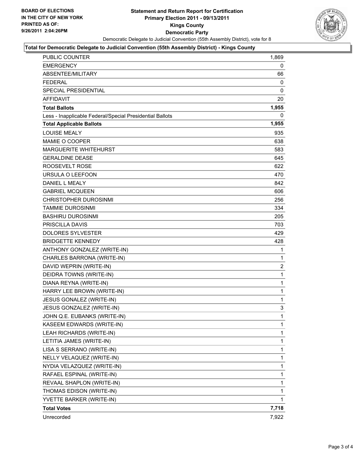

#### **Total for Democratic Delegate to Judicial Convention (55th Assembly District) - Kings County**

| <b>PUBLIC COUNTER</b>                                    | 1,869          |
|----------------------------------------------------------|----------------|
| <b>EMERGENCY</b>                                         | 0              |
| ABSENTEE/MILITARY                                        | 66             |
| <b>FEDERAL</b>                                           | 0              |
| <b>SPECIAL PRESIDENTIAL</b>                              | 0              |
| <b>AFFIDAVIT</b>                                         | 20             |
| <b>Total Ballots</b>                                     | 1,955          |
| Less - Inapplicable Federal/Special Presidential Ballots | 0              |
| <b>Total Applicable Ballots</b>                          | 1,955          |
| <b>LOUISE MEALY</b>                                      | 935            |
| MAMIE O COOPER                                           | 638            |
| MARGUERITE WHITEHURST                                    | 583            |
| <b>GERALDINE DEASE</b>                                   | 645            |
| ROOSEVELT ROSE                                           | 622            |
| URSULA O LEEFOON                                         | 470            |
| <b>DANIEL L MEALY</b>                                    | 842            |
| <b>GABRIEL MCQUEEN</b>                                   | 606            |
| <b>CHRISTOPHER DUROSINMI</b>                             | 256            |
| TAMMIE DUROSINMI                                         | 334            |
| <b>BASHIRU DUROSINMI</b>                                 | 205            |
| <b>PRISCILLA DAVIS</b>                                   | 703            |
| <b>DOLORES SYLVESTER</b>                                 | 429            |
| <b>BRIDGETTE KENNEDY</b>                                 | 428            |
| ANTHONY GONZALEZ (WRITE-IN)                              | 1              |
| CHARLES BARRONA (WRITE-IN)                               | 1              |
| DAVID WEPRIN (WRITE-IN)                                  | $\overline{2}$ |
| DEIDRA TOWNS (WRITE-IN)                                  | 1              |
| DIANA REYNA (WRITE-IN)                                   | $\mathbf{1}$   |
| HARRY LEE BROWN (WRITE-IN)                               | 1              |
| JESUS GONALEZ (WRITE-IN)                                 | 1              |
| JESUS GONZALEZ (WRITE-IN)                                | 3              |
| JOHN Q.E. EUBANKS (WRITE-IN)                             | 1              |
| KASEEM EDWARDS (WRITE-IN)                                | 1              |
| LEAH RICHARDS (WRITE-IN)                                 | 1              |
| LETITIA JAMES (WRITE-IN)                                 | 1              |
| LISA S SERRANO (WRITE-IN)                                | 1              |
| NELLY VELAQUEZ (WRITE-IN)                                | 1              |
| NYDIA VELAZQUEZ (WRITE-IN)                               | 1              |
| RAFAEL ESPINAL (WRITE-IN)                                | 1              |
| REVAAL SHAPLON (WRITE-IN)                                | 1              |
| THOMAS EDISON (WRITE-IN)                                 | 1              |
| YVETTE BARKER (WRITE-IN)                                 | 1              |
| <b>Total Votes</b>                                       | 7,718          |
| Unrecorded                                               | 7,922          |